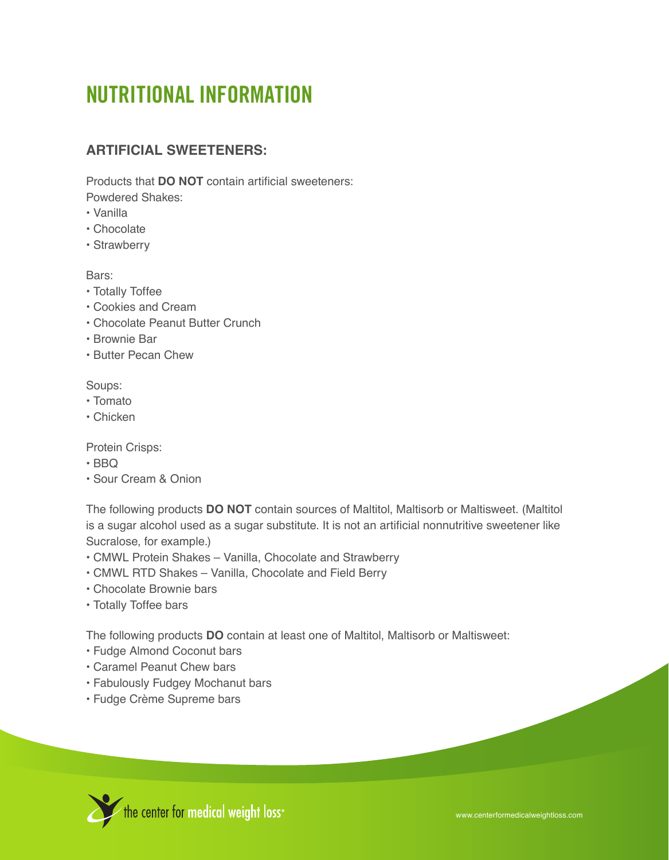# **NUTRITIONAL INFORMATION**

# **Artificial Sweeteners:**

Products that **DO NOT** contain artificial sweeteners: Powdered Shakes:

- Vanilla
- Chocolate
- Strawberry

#### Bars:

- Totally Toffee
- Cookies and Cream
- Chocolate Peanut Butter Crunch
- Brownie Bar
- Butter Pecan Chew

#### Soups:

- Tomato
- Chicken

Protein Crisps:

- BBQ
- Sour Cream & Onion

The following products **DO NOT** contain sources of Maltitol, Maltisorb or Maltisweet. (Maltitol is a sugar alcohol used as a sugar substitute. It is not an artificial nonnutritive sweetener like Sucralose, for example.)

- CMWL Protein Shakes Vanilla, Chocolate and Strawberry
- CMWL RTD Shakes Vanilla, Chocolate and Field Berry
- Chocolate Brownie bars
- Totally Toffee bars

The following products **DO** contain at least one of Maltitol, Maltisorb or Maltisweet:

- Fudge Almond Coconut bars
- Caramel Peanut Chew bars
- Fabulously Fudgey Mochanut bars
- Fudge Crème Supreme bars

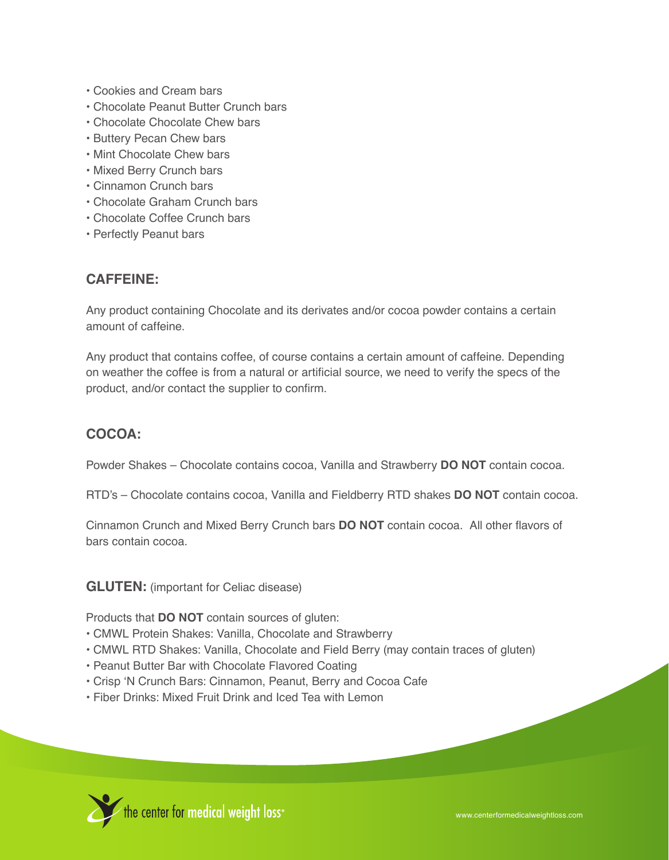- Cookies and Cream bars
- Chocolate Peanut Butter Crunch bars
- Chocolate Chocolate Chew bars
- Buttery Pecan Chew bars
- Mint Chocolate Chew bars
- Mixed Berry Crunch bars
- Cinnamon Crunch bars
- Chocolate Graham Crunch bars
- Chocolate Coffee Crunch bars
- Perfectly Peanut bars

## **Caffeine:**

Any product containing Chocolate and its derivates and/or cocoa powder contains a certain amount of caffeine.

Any product that contains coffee, of course contains a certain amount of caffeine. Depending on weather the coffee is from a natural or artificial source, we need to verify the specs of the product, and/or contact the supplier to confirm.

# **Cocoa:**

Powder Shakes – Chocolate contains cocoa, Vanilla and Strawberry **DO NOT** contain cocoa.

RTD's – Chocolate contains cocoa, Vanilla and Fieldberry RTD shakes **DO NOT** contain cocoa.

Cinnamon Crunch and Mixed Berry Crunch bars **DO NOT** contain cocoa. All other flavors of bars contain cocoa.

**GLUTEN:** (important for Celiac disease)

Products that **DO NOT** contain sources of gluten:

- CMWL Protein Shakes: Vanilla, Chocolate and Strawberry
- CMWL RTD Shakes: Vanilla, Chocolate and Field Berry (may contain traces of gluten)
- Peanut Butter Bar with Chocolate Flavored Coating
- Crisp 'N Crunch Bars: Cinnamon, Peanut, Berry and Cocoa Cafe
- Fiber Drinks: Mixed Fruit Drink and Iced Tea with Lemon

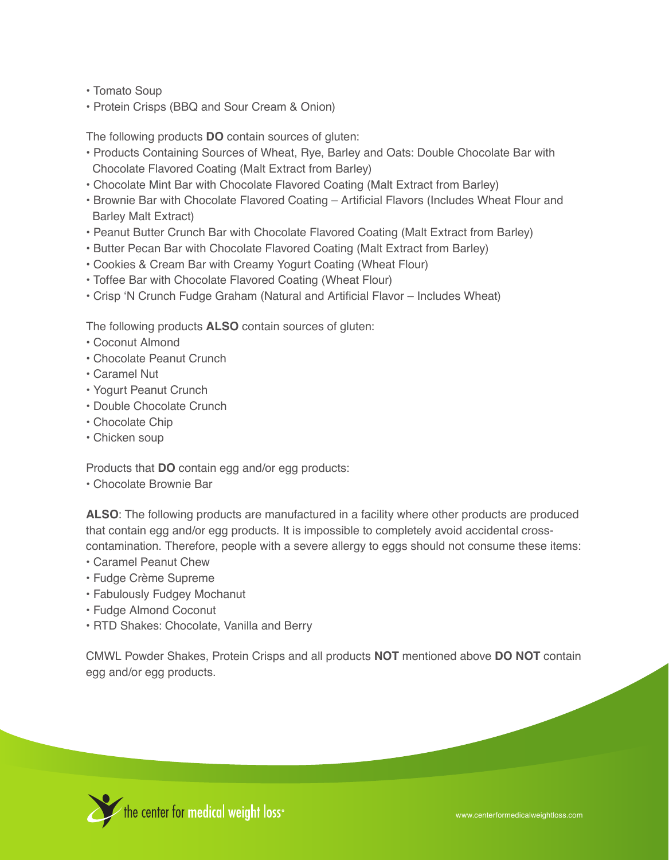- Tomato Soup
- Protein Crisps (BBQ and Sour Cream & Onion)

The following products **DO** contain sources of gluten:

- Products Containing Sources of Wheat, Rye, Barley and Oats: Double Chocolate Bar with Chocolate Flavored Coating (Malt Extract from Barley)
- Chocolate Mint Bar with Chocolate Flavored Coating (Malt Extract from Barley)
- Brownie Bar with Chocolate Flavored Coating Artificial Flavors (Includes Wheat Flour and Barley Malt Extract)
- Peanut Butter Crunch Bar with Chocolate Flavored Coating (Malt Extract from Barley)
- Butter Pecan Bar with Chocolate Flavored Coating (Malt Extract from Barley)
- Cookies & Cream Bar with Creamy Yogurt Coating (Wheat Flour)
- Toffee Bar with Chocolate Flavored Coating (Wheat Flour)
- Crisp 'N Crunch Fudge Graham (Natural and Artificial Flavor Includes Wheat)

The following products **ALSO** contain sources of gluten:

- Coconut Almond
- Chocolate Peanut Crunch
- Caramel Nut
- Yogurt Peanut Crunch
- Double Chocolate Crunch
- Chocolate Chip
- Chicken soup

Products that **DO** contain egg and/or egg products:

• Chocolate Brownie Bar

ALSO: The following products are manufactured in a facility where other products are produced that contain egg and/or egg products. It is impossible to completely avoid accidental crosscontamination. Therefore, people with a severe allergy to eggs should not consume these items:

- Caramel Peanut Chew
- Fudge Crème Supreme
- Fabulously Fudgey Mochanut
- Fudge Almond Coconut
- RTD Shakes: Chocolate, Vanilla and Berry

CMWL Powder Shakes, Protein Crisps and all products **NOT** mentioned above **DO NOT** contain egg and/or egg products.

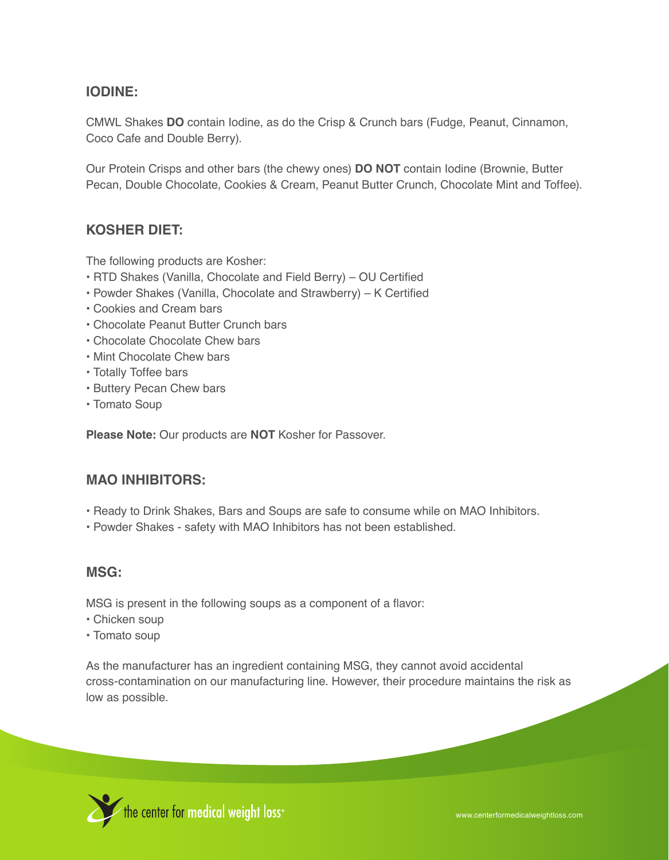# **Iodine:**

CMWL Shakes **DO** contain Iodine, as do the Crisp & Crunch bars (Fudge, Peanut, Cinnamon, Coco Cafe and Double Berry).

Our Protein Crisps and other bars (the chewy ones) **DO NOT** contain Iodine (Brownie, Butter Pecan, Double Chocolate, Cookies & Cream, Peanut Butter Crunch, Chocolate Mint and Toffee).

## **Kosher DIET:**

The following products are Kosher:

- RTD Shakes (Vanilla, Chocolate and Field Berry) OU Certified
- Powder Shakes (Vanilla, Chocolate and Strawberry) K Certified
- Cookies and Cream bars
- Chocolate Peanut Butter Crunch bars
- Chocolate Chocolate Chew bars
- Mint Chocolate Chew bars
- Totally Toffee bars
- Buttery Pecan Chew bars
- Tomato Soup

**Please Note:** Our products are **NOT** Kosher for Passover.

## **MAO INHIBITORS:**

- Ready to Drink Shakes, Bars and Soups are safe to consume while on MAO Inhibitors.
- Powder Shakes safety with MAO Inhibitors has not been established.

#### **MSG:**

MSG is present in the following soups as a component of a flavor:

- Chicken soup
- Tomato soup

As the manufacturer has an ingredient containing MSG, they cannot avoid accidental cross-contamination on our manufacturing line. However, their procedure maintains the risk as low as possible.

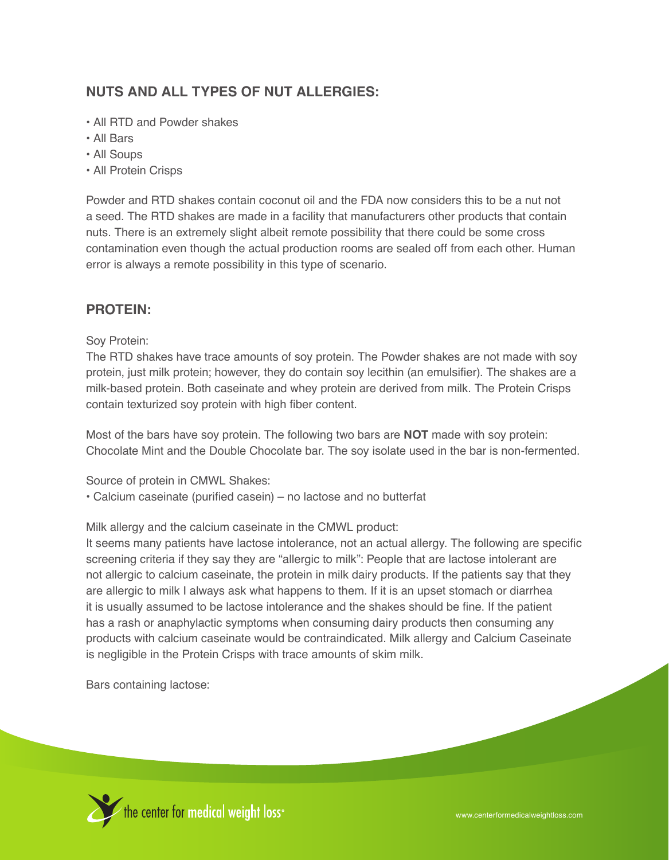# **Nuts and All Types of Nut Allergies:**

- All RTD and Powder shakes
- All Bars
- All Soups
- All Protein Crisps

Powder and RTD shakes contain coconut oil and the FDA now considers this to be a nut not a seed. The RTD shakes are made in a facility that manufacturers other products that contain nuts. There is an extremely slight albeit remote possibility that there could be some cross contamination even though the actual production rooms are sealed off from each other. Human error is always a remote possibility in this type of scenario.

#### **Protein:**

Soy Protein:

The RTD shakes have trace amounts of soy protein. The Powder shakes are not made with soy protein, just milk protein; however, they do contain soy lecithin (an emulsifier). The shakes are a milk-based protein. Both caseinate and whey protein are derived from milk. The Protein Crisps contain texturized soy protein with high fiber content.

Most of the bars have soy protein. The following two bars are **NOT** made with soy protein: Chocolate Mint and the Double Chocolate bar. The soy isolate used in the bar is non-fermented.

Source of protein in CMWL Shakes:

• Calcium caseinate (purified casein) – no lactose and no butterfat

Milk allergy and the calcium caseinate in the CMWL product:

It seems many patients have lactose intolerance, not an actual allergy. The following are specific screening criteria if they say they are "allergic to milk": People that are lactose intolerant are not allergic to calcium caseinate, the protein in milk dairy products. If the patients say that they are allergic to milk I always ask what happens to them. If it is an upset stomach or diarrhea it is usually assumed to be lactose intolerance and the shakes should be fine. If the patient has a rash or anaphylactic symptoms when consuming dairy products then consuming any products with calcium caseinate would be contraindicated. Milk allergy and Calcium Caseinate is negligible in the Protein Crisps with trace amounts of skim milk.

Bars containing lactose:

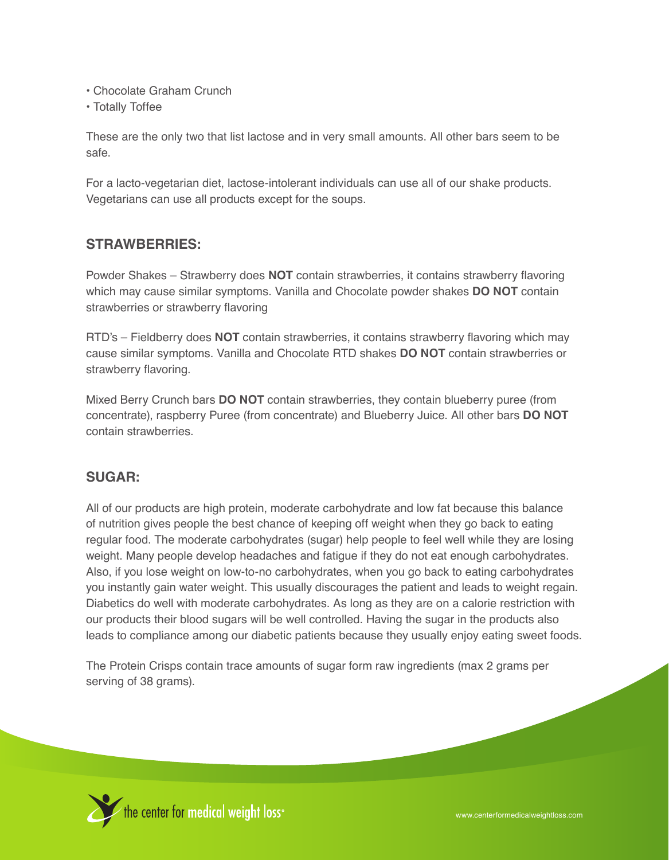- Chocolate Graham Crunch
- Totally Toffee

These are the only two that list lactose and in very small amounts. All other bars seem to be safe.

For a lacto-vegetarian diet, lactose-intolerant individuals can use all of our shake products. Vegetarians can use all products except for the soups.

# **Strawberries:**

Powder Shakes – Strawberry does **NOT** contain strawberries, it contains strawberry flavoring which may cause similar symptoms. Vanilla and Chocolate powder shakes **DO NOT** contain strawberries or strawberry flavoring

RTD's – Fieldberry does **NOT** contain strawberries, it contains strawberry flavoring which may cause similar symptoms. Vanilla and Chocolate RTD shakes **DO NOT** contain strawberries or strawberry flavoring.

Mixed Berry Crunch bars **DO NOT** contain strawberries, they contain blueberry puree (from concentrate), raspberry Puree (from concentrate) and Blueberry Juice. All other bars **DO NOT** contain strawberries.

## **Sugar:**

All of our products are high protein, moderate carbohydrate and low fat because this balance of nutrition gives people the best chance of keeping off weight when they go back to eating regular food. The moderate carbohydrates (sugar) help people to feel well while they are losing weight. Many people develop headaches and fatigue if they do not eat enough carbohydrates. Also, if you lose weight on low-to-no carbohydrates, when you go back to eating carbohydrates you instantly gain water weight. This usually discourages the patient and leads to weight regain. Diabetics do well with moderate carbohydrates. As long as they are on a calorie restriction with our products their blood sugars will be well controlled. Having the sugar in the products also leads to compliance among our diabetic patients because they usually enjoy eating sweet foods.

The Protein Crisps contain trace amounts of sugar form raw ingredients (max 2 grams per serving of 38 grams).